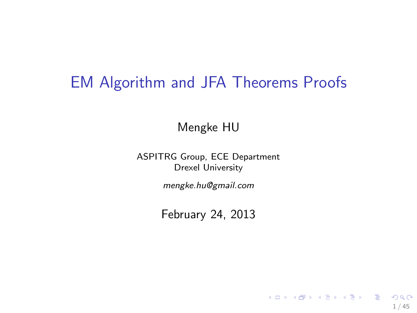## EM Algorithm and JFA Theorems Proofs

Mengke HU

ASPITRG Group, ECE Department Drexel University

mengke.hu@gmail.com

February 24, 2013

1 / 45

K ロ ▶ K @ ▶ K 할 ▶ K 할 ▶ . 할 → 9 Q @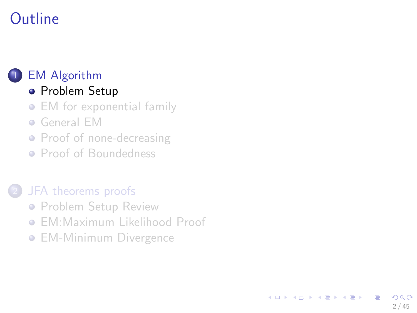# **Outline**

### 1 [EM Algorithm](#page-1-0)

### **• [Problem Setup](#page-1-0)**

- [EM for exponential family](#page-5-0)
- [General EM](#page-12-0)
- [Proof of none-decreasing](#page-14-0)
- [Proof of Boundedness](#page-17-0)

### [JFA theorems proofs](#page-21-0)

- **[Problem Setup Review](#page-21-0)**
- **[EM:Maximum Likelihood Proof](#page-26-0)**

<span id="page-1-0"></span>2 / 45

 $\Omega$ 

イロト イ部 トイヨ トイヨト

**• [EM-Minimum Divergence](#page-35-0)**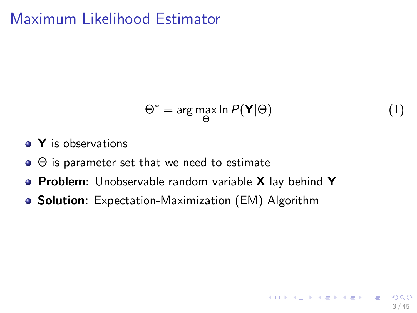## Maximum Likelihood Estimator

$$
\Theta^* = \arg\max_{\Theta} \ln P(\mathbf{Y}|\Theta)
$$
 (1)

3 / 45

K ロ ト K 個 ト K 差 ト K 差 ト … 差 …

- Y is observations
- $\bullet$   $\Theta$  is parameter set that we need to estimate
- **Problem:** Unobservable random variable X lay behind Y
- Solution: Expectation-Maximization (EM) Algorithm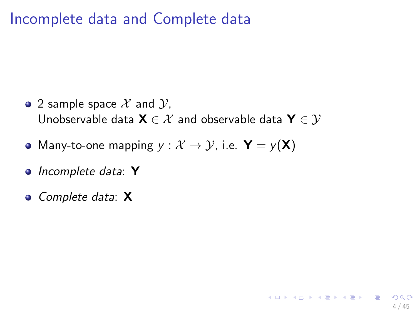## Incomplete data and Complete data

• 2 sample space  $\mathcal X$  and  $\mathcal Y$ , Unobservable data  $\mathbf{X} \in \mathcal{X}$  and observable data  $\mathbf{Y} \in \mathcal{Y}$ 

4 / 45

K ロ ト K 個 ト K 差 ト K 差 ト … 差

- Many-to-one mapping  $y : \mathcal{X} \to \mathcal{Y}$ , i.e.  $\mathbf{Y} = y(\mathbf{X})$
- *Incomplete data*: Y
- *Complete data*: X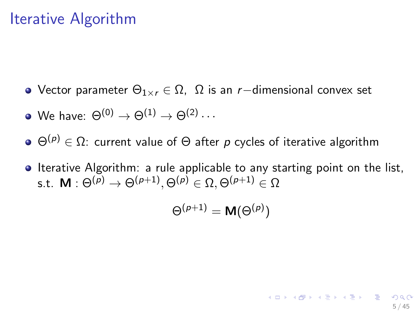## Iterative Algorithm

- Vector parameter Θ1×<sup>r</sup> ∈ Ω, Ω is an *r*−dimensional convex set
- We have:  $\Theta^{(0)} \rightarrow \Theta^{(1)} \rightarrow \Theta^{(2)} \cdots$
- $\Theta(\rho) \in \Omega$ : current value of  $\Theta$  after *p* cycles of iterative algorithm
- **Iterative Algorithm:** a rule applicable to any starting point on the list, s.t.  $\boldsymbol{\mathsf{M}}: \Theta^{(\rho)} \rightarrow \Theta^{(\rho+1)}, \Theta^{(\rho)} \in \Omega, \Theta^{(\rho+1)} \in \Omega$

$$
\Theta^{(p+1)} = \mathsf{M}(\Theta^{(p)})
$$

5 / 45

KID KARA KE KILE KI E KORO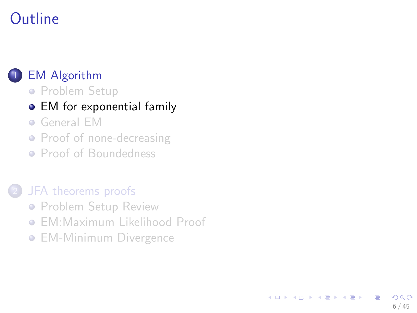# **Outline**

#### **[EM Algorithm](#page-1-0)**

**• [Problem Setup](#page-1-0)** 

#### • [EM for exponential family](#page-5-0)

- [General EM](#page-12-0)
- [Proof of none-decreasing](#page-14-0)
- [Proof of Boundedness](#page-17-0)

#### [JFA theorems proofs](#page-21-0)

- **[Problem Setup Review](#page-21-0)**
- **[EM:Maximum Likelihood Proof](#page-26-0)**

<span id="page-5-0"></span>6 / 45

 $\Omega$ 

イロト イ部 トイヨ トイヨト

**• [EM-Minimum Divergence](#page-35-0)**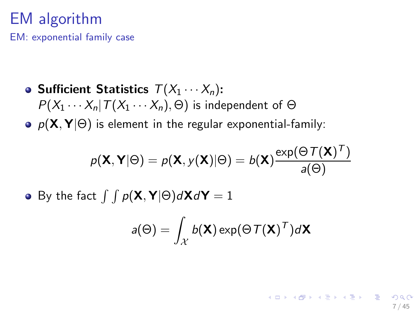## EM algorithm

EM: exponential family case

- Sufficient Statistics  $T(X_1 \cdots X_n)$ :  $P(X_1 \cdots X_n | T(X_1 \cdots X_n), \Theta)$  is independent of  $\Theta$
- **•**  $p(\mathbf{X}, \mathbf{Y} | \Theta)$  is element in the regular exponential-family:

$$
p(\mathbf{X}, \mathbf{Y} | \Theta) = p(\mathbf{X}, y(\mathbf{X}) | \Theta) = b(\mathbf{X}) \frac{\exp(\Theta \mathcal{T}(\mathbf{X})^T)}{a(\Theta)}
$$

• By the fact  $\int \int p(\mathbf{X}, \mathbf{Y} | \Theta) d\mathbf{X} d\mathbf{Y} = 1$ 

$$
a(\Theta) = \int_{\mathcal{X}} b(\mathbf{X}) \exp(\Theta \, \mathcal{T}(\mathbf{X})^T) d\mathbf{X}
$$

7 / 45

K ロ ▶ K 個 ▶ K 글 ▶ K 글 ▶ │ 글 │ ◆) Q Q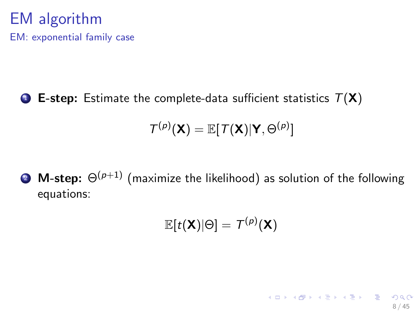### EM algorithm EM: exponential family case

**1** E-step: Estimate the complete-data sufficient statistics  $T(X)$ 

$$
\mathcal{T}^{(p)}(\mathbf{X}) = \mathbb{E}[\mathcal{T}(\mathbf{X}) | \mathbf{Y}, \Theta^{(p)}]
$$

**2** M-step:  $\Theta^{(p+1)}$  (maximize the likelihood) as solution of the following equations:

$$
\mathbb{E}[t(\mathsf{X})|\Theta] = \mathcal{T}^{(p)}(\mathsf{X})
$$

8 / 45

イロト (部) (差) (差) (差) のQC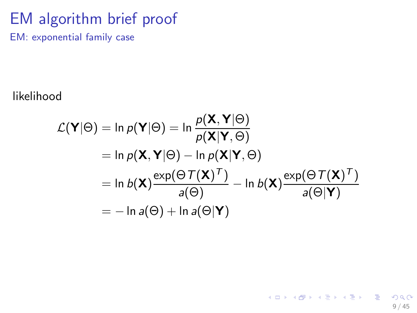## EM algorithm brief proof

EM: exponential family case

likelihood

$$
\mathcal{L}(\mathbf{Y}|\Theta) = \ln p(\mathbf{Y}|\Theta) = \ln \frac{p(\mathbf{X}, \mathbf{Y}|\Theta)}{p(\mathbf{X}|\mathbf{Y}, \Theta)}
$$
  
=  $\ln p(\mathbf{X}, \mathbf{Y}|\Theta) - \ln p(\mathbf{X}|\mathbf{Y}, \Theta)$   
=  $\ln b(\mathbf{X}) \frac{\exp(\Theta \mathcal{T}(\mathbf{X})^T)}{a(\Theta)} - \ln b(\mathbf{X}) \frac{\exp(\Theta \mathcal{T}(\mathbf{X})^T)}{a(\Theta|\mathbf{Y})}$   
=  $-\ln a(\Theta) + \ln a(\Theta|\mathbf{Y})$ 

9 / 45

K ロ > K @ > K 할 > K 할 > 1 할 : K 9 Q Q\*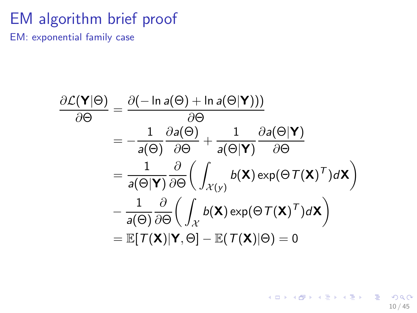## EM algorithm brief proof

EM: exponential family case

$$
\frac{\partial \mathcal{L}(\mathbf{Y}|\Theta)}{\partial \Theta} = \frac{\partial(-\ln a(\Theta) + \ln a(\Theta|\mathbf{Y})))}{\partial \Theta}
$$
\n
$$
= -\frac{1}{a(\Theta)} \frac{\partial a(\Theta)}{\partial \Theta} + \frac{1}{a(\Theta|\mathbf{Y})} \frac{\partial a(\Theta|\mathbf{Y})}{\partial \Theta}
$$
\n
$$
= \frac{1}{a(\Theta|\mathbf{Y})} \frac{\partial}{\partial \Theta} \left( \int_{\mathcal{X}(y)} b(\mathbf{X}) \exp(\Theta \mathcal{T}(\mathbf{X})^T) d\mathbf{X} \right)
$$
\n
$$
- \frac{1}{a(\Theta)} \frac{\partial}{\partial \Theta} \left( \int_{\mathcal{X}} b(\mathbf{X}) \exp(\Theta \mathcal{T}(\mathbf{X})^T) d\mathbf{X} \right)
$$
\n
$$
= \mathbb{E}[\mathcal{T}(\mathbf{X})|\mathbf{Y}, \Theta] - \mathbb{E}(\mathcal{T}(\mathbf{X})|\Theta) = 0
$$

K ロ > K @ > K 할 > K 할 > 1 할 : K 9 Q Q\* 10 / 45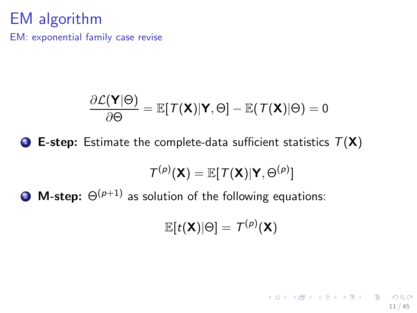## EM algorithm

EM: exponential family case revise

$$
\frac{\partial \mathcal{L}(\mathbf{Y}|\Theta)}{\partial \Theta} = \mathbb{E}[\mathcal{T}(\mathbf{X})|\mathbf{Y}, \Theta] - \mathbb{E}(\mathcal{T}(\mathbf{X})|\Theta) = 0
$$

**1** E-step: Estimate the complete-data sufficient statistics  $T(X)$ 

$$
\mathcal{T}^{(p)}(\mathbf{X}) = \mathbb{E}[\mathcal{T}(\mathbf{X}) | \mathbf{Y}, \Theta^{(p)}]
$$

**2** M-step:  $\Theta^{(p+1)}$  as solution of the following equations:

$$
\mathbb{E}[t(\mathsf{X})|\Theta] = \mathcal{T}^{(\rho)}(\mathsf{X})
$$

11 / 45

イロト (部) (差) (差) (差) のQ (2)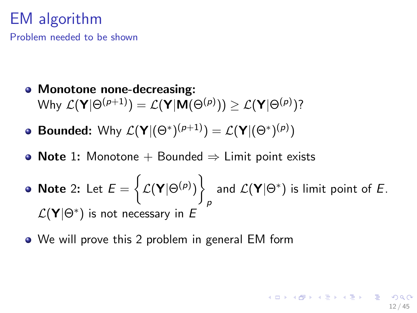## EM algorithm

Problem needed to be shown

- Monotone none-decreasing:  $\bullet$ Why  $\mathcal{L}(\mathbf{Y}|\Theta^{(p+1)})=\mathcal{L}(\mathbf{Y}|\mathbf{M}(\Theta^{(p)}))\geq\mathcal{L}(\mathbf{Y}|\Theta^{(p)})$ ?
- **Bounded:** Why  $\mathcal{L}(\mathbf{Y}|(\Theta^*)^{(p+1)}) = \mathcal{L}(\mathbf{Y}|(\Theta^*)^{(p)})$
- **Note 1:** Monotone + Bounded  $\Rightarrow$  Limit point exists  $\bullet$
- **Note** 2: Let  $E = \left\{ \mathcal{L}(\mathbf{Y}|\Theta^{(p)}) \right\}$ p and  $\mathcal{L}(\mathbf{Y}|\Theta^*)$  is limit point of *E*. L(Y|Θ<sup>∗</sup> ) is not necessary in *E*

12 / 45

(ロ) (個) (目) (目) (目) (目) の

• We will prove this 2 problem in general EM form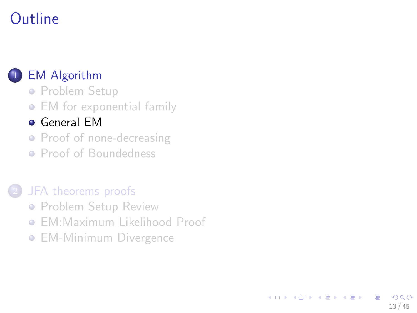# **Outline**

#### **[EM Algorithm](#page-1-0)**

- **[Problem Setup](#page-1-0)**
- [EM for exponential family](#page-5-0)

#### [General EM](#page-12-0)

- [Proof of none-decreasing](#page-14-0)
- [Proof of Boundedness](#page-17-0)

#### [JFA theorems proofs](#page-21-0)

- **[Problem Setup Review](#page-21-0)**
- **[EM:Maximum Likelihood Proof](#page-26-0)**
- <span id="page-12-0"></span>**• [EM-Minimum Divergence](#page-35-0)**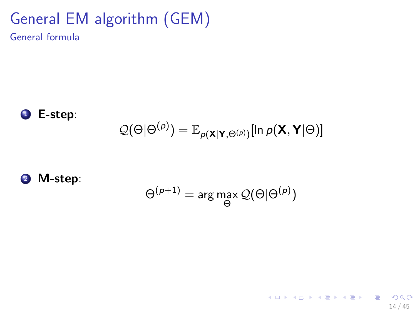# General EM algorithm (GEM)

General formula



$$
\mathcal{Q}(\Theta|\Theta^{(p)}) = \mathbb{E}_{p(\mathbf{X}|\mathbf{Y},\Theta^{(p)})}[ln p(\mathbf{X},\mathbf{Y}|\Theta)]
$$

<sup>2</sup> M-step:

$$
\Theta^{(p+1)} = \arg\max_{\Theta} \mathcal{Q}(\Theta|\Theta^{(p)})
$$

 $\mathbf{d}$ 

14 / 45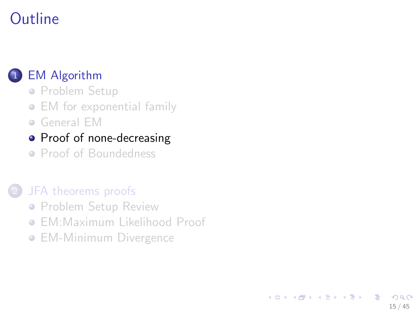# **Outline**

#### **[EM Algorithm](#page-1-0)**

- **[Problem Setup](#page-1-0)**
- [EM for exponential family](#page-5-0)
- [General EM](#page-12-0)
- [Proof of none-decreasing](#page-14-0)
- [Proof of Boundedness](#page-17-0)

#### [JFA theorems proofs](#page-21-0)

- **[Problem Setup Review](#page-21-0)**
- **[EM:Maximum Likelihood Proof](#page-26-0)**

<span id="page-14-0"></span>15 / 45

 $\Omega$ 

イロト イ部 トイヨ トイヨト

**• [EM-Minimum Divergence](#page-35-0)**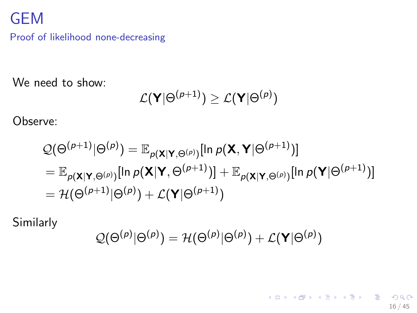## GEM

Proof of likelihood none-decreasing

We need to show:

$$
\mathcal{L}(\mathbf{Y}|\Theta^{(p+1)})\geq \mathcal{L}(\mathbf{Y}|\Theta^{(p)})
$$

Observe:

$$
Q(\Theta^{(p+1)}|\Theta^{(p)}) = \mathbb{E}_{p(\mathbf{X}|\mathbf{Y},\Theta^{(p)})}[ln p(\mathbf{X},\mathbf{Y}|\Theta^{(p+1)})]
$$
  
\n
$$
= \mathbb{E}_{p(\mathbf{X}|\mathbf{Y},\Theta^{(p)})}[ln p(\mathbf{X}|\mathbf{Y},\Theta^{(p+1)})] + \mathbb{E}_{p(\mathbf{X}|\mathbf{Y},\Theta^{(p)})}[ln p(\mathbf{Y}|\Theta^{(p+1)})]
$$
  
\n
$$
= \mathcal{H}(\Theta^{(p+1)}|\Theta^{(p)}) + \mathcal{L}(\mathbf{Y}|\Theta^{(p+1)})
$$

Similarly

$$
\mathcal{Q}(\Theta^{(\rho)}|\Theta^{(\rho)})=\mathcal{H}(\Theta^{(\rho)}|\Theta^{(\rho)})+\mathcal{L}(\mathbf{Y}|\Theta^{(\rho)})
$$

16 / 45

K ロ > K 御 > K 著 > K 著 > 「著 」 の Q @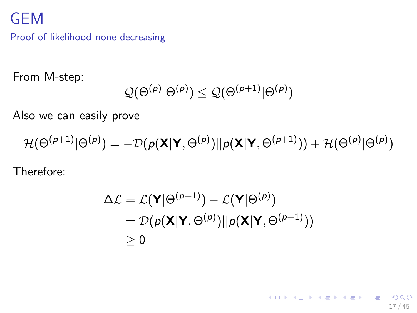## GEM

Proof of likelihood none-decreasing

From M-step:

$$
\mathcal{Q}(\Theta^{(\rho)}|\Theta^{(\rho)})\leq\mathcal{Q}(\Theta^{(\rho+1)}|\Theta^{(\rho)})
$$

Also we can easily prove

 $\mathcal{H}(\Theta^{(\rho+1)}|\Theta^{(\rho)})= -\mathcal{D}(\rho(\mathsf{X}|\mathsf{Y},\Theta^{(\rho)})||\rho(\mathsf{X}|\mathsf{Y},\Theta^{(\rho+1)}))+\mathcal{H}(\Theta^{(\rho)}|\Theta^{(\rho)})$ 

Therefore:

$$
\Delta \mathcal{L} = \mathcal{L}(\mathbf{Y}|\Theta^{(p+1)}) - \mathcal{L}(\mathbf{Y}|\Theta^{(p)})
$$
  
=  $\mathcal{D}(p(\mathbf{X}|\mathbf{Y},\Theta^{(p)})||p(\mathbf{X}|\mathbf{Y},\Theta^{(p+1)}))$   
 $\geq 0$ 

17 / 45

K ロ X x 伊 X x 포 X x 포 X → D 포 → D Q Q Q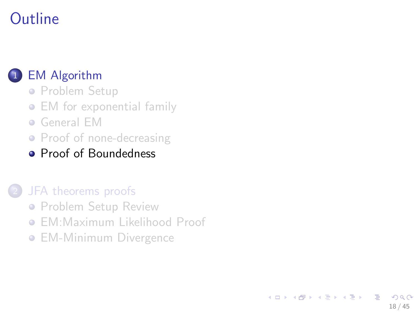# **Outline**

### **[EM Algorithm](#page-1-0)**

- **[Problem Setup](#page-1-0)**
- [EM for exponential family](#page-5-0)
- [General EM](#page-12-0)
- [Proof of none-decreasing](#page-14-0)
- [Proof of Boundedness](#page-17-0)

#### [JFA theorems proofs](#page-21-0)

- **[Problem Setup Review](#page-21-0)**
- **[EM:Maximum Likelihood Proof](#page-26-0)**
- <span id="page-17-0"></span>**• [EM-Minimum Divergence](#page-35-0)**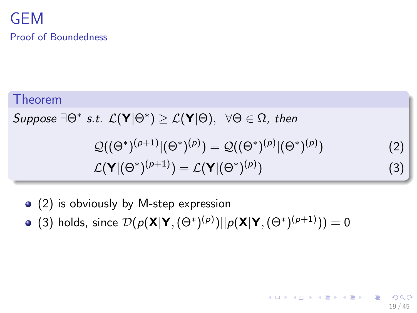### GEM Proof of Boundedness

Theorem  $Suppose \ \exists \Theta^* \ s.t. \ \mathcal{L}(\mathbf{Y}|\Theta^*) \geq \mathcal{L}(\mathbf{Y}|\Theta), \ \ \forall \Theta \in \Omega, \ then$  $\mathcal{Q}((\Theta^*)^{(\rho+1)}|(\Theta^*)^{(\rho)}) = \mathcal{Q}((\Theta^*)^{(\rho)}|(\Theta^*)^{(\rho)}).$ ) (2)  $\mathcal{L}(\mathsf{Y}|(\Theta^*)^{(\rho+1)}) = \mathcal{L}(\mathsf{Y}|(\Theta^*)^{(\rho)}$ )  $(3)$ 

19 / 45

(ロトメ部トメ者) (道) (道)

- (2) is obviously by M-step expression
- (3) holds, since  $\mathcal{D}(p(\mathbf{X}|\mathbf{Y},(\Theta^*)^{(p)})||p(\mathbf{X}|\mathbf{Y},(\Theta^*)^{(p+1)}))=0$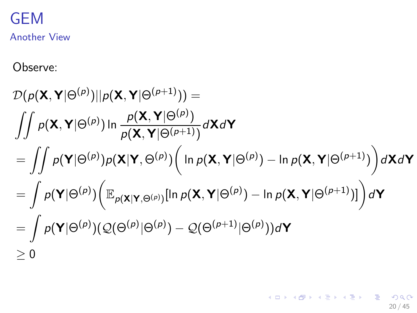# GEM

Another View

Observe:

$$
\mathcal{D}(p(\mathbf{X}, \mathbf{Y}|\Theta^{(p)})||p(\mathbf{X}, \mathbf{Y}|\Theta^{(p+1)})) =
$$
\n
$$
\iint p(\mathbf{X}, \mathbf{Y}|\Theta^{(p)}) \ln \frac{p(\mathbf{X}, \mathbf{Y}|\Theta^{(p)})}{p(\mathbf{X}, \mathbf{Y}|\Theta^{(p+1)})} d\mathbf{X} d\mathbf{Y}
$$
\n
$$
= \iint p(\mathbf{Y}|\Theta^{(p)}) p(\mathbf{X}|\mathbf{Y}, \Theta^{(p)}) (\ln p(\mathbf{X}, \mathbf{Y}|\Theta^{(p)}) - \ln p(\mathbf{X}, \mathbf{Y}|\Theta^{(p+1)})) d\mathbf{X} d\mathbf{Y}
$$
\n
$$
= \int p(\mathbf{Y}|\Theta^{(p)}) (\mathbb{E}_{p(\mathbf{X}|\mathbf{Y}, \Theta^{(p)})} [\ln p(\mathbf{X}, \mathbf{Y}|\Theta^{(p)}) - \ln p(\mathbf{X}, \mathbf{Y}|\Theta^{(p+1)})] d\mathbf{Y}
$$
\n
$$
= \int p(\mathbf{Y}|\Theta^{(p)}) (\mathcal{Q}(\Theta^{(p)}|\Theta^{(p)}) - \mathcal{Q}(\Theta^{(p+1)}|\Theta^{(p)})) d\mathbf{Y}
$$
\n
$$
\geq 0
$$

20 / 45

K ロ ▶ K @ ▶ K 할 ▶ K 할 ▶ 이 할 → 900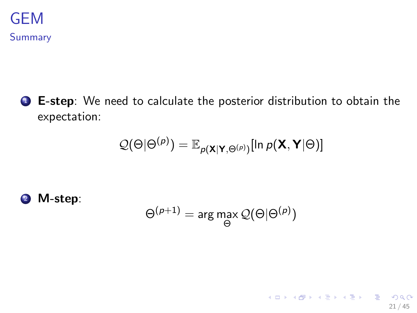

**1** E-step: We need to calculate the posterior distribution to obtain the expectation:

$$
\mathcal{Q}(\Theta|\Theta^{(p)}) = \mathbb{E}_{p(\mathbf{X}|\mathbf{Y},\Theta^{(p)})}[\ln p(\mathbf{X},\mathbf{Y}|\Theta)]
$$

<sup>2</sup> M-step:

$$
\Theta^{(p+1)} = \arg\max_{\Theta} \mathcal{Q}(\Theta | \Theta^{(p)})
$$

21 / 45

K ロ > K d > K 할 > K 할 > 1 할 > 1 이익어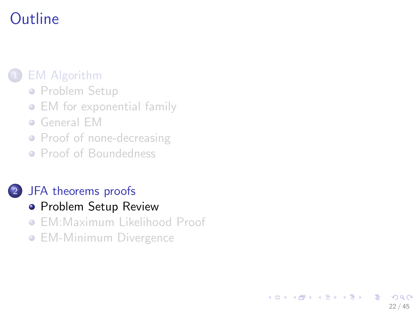# **Outline**

### **[EM Algorithm](#page-1-0)**

- **[Problem Setup](#page-1-0)**
- [EM for exponential family](#page-5-0)
- [General EM](#page-12-0)
- [Proof of none-decreasing](#page-14-0)
- [Proof of Boundedness](#page-17-0)

#### 2 [JFA theorems proofs](#page-21-0)

- **[Problem Setup Review](#page-21-0)**
- **[EM:Maximum Likelihood Proof](#page-26-0)**

<span id="page-21-0"></span>22 / 45

 $QQ$ 

イロト イ部 トイヨ トイヨト

**• [EM-Minimum Divergence](#page-35-0)**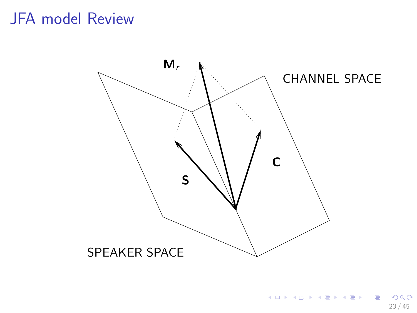## JFA model Review

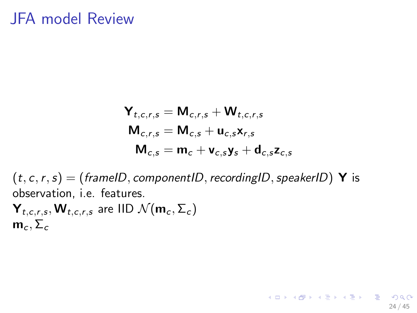## JFA model Review

$$
\mathbf{Y}_{t,c,r,s} = \mathbf{M}_{c,r,s} + \mathbf{W}_{t,c,r,s}
$$

$$
\mathbf{M}_{c,r,s} = \mathbf{M}_{c,s} + \mathbf{u}_{c,s} \mathbf{x}_{r,s}
$$

$$
\mathbf{M}_{c,s} = \mathbf{m}_c + \mathbf{v}_{c,s} \mathbf{y}_s + \mathbf{d}_{c,s} \mathbf{z}_{c,s}
$$

24 / 45

K ロ X x 伊 X x 포 X x 포 X → D 포 → D Q Q Q

 $(t, c, r, s) = (framelD, componentID, recordingID, speakerID) Y$  is observation, i.e. features.

 $\textbf{Y}_{t, c, r, s}, \textbf{W}_{t, c, r, s}$  are IID  $\mathcal{N}(\textbf{m}_c, \Sigma_c)$  $m_c$ ,  $\Sigma_c$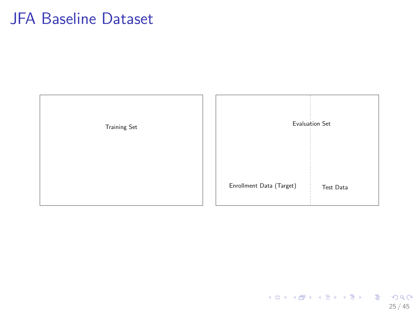## JFA Baseline Dataset

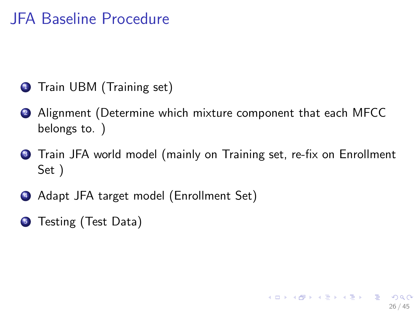## JFA Baseline Procedure

- **1** Train UBM (Training set)
- <sup>2</sup> Alignment (Determine which mixture component that each MFCC belongs to. )
- **3** Train JFA world model (mainly on Training set, re-fix on Enrollment Set )

26 / 45

K ロ ▶ K 個 ▶ K 로 ▶ K 로 ▶ 『로 『 YO Q Q

- <sup>4</sup> Adapt JFA target model (Enrollment Set)
- **5** Testing (Test Data)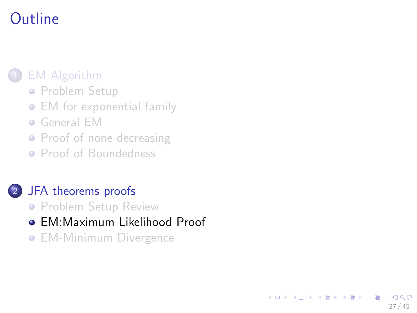## **Outline**

### **[EM Algorithm](#page-1-0)**

- **[Problem Setup](#page-1-0)**
- [EM for exponential family](#page-5-0)
- [General EM](#page-12-0)
- [Proof of none-decreasing](#page-14-0)
- [Proof of Boundedness](#page-17-0)

#### [JFA theorems proofs](#page-21-0)

- **[Problem Setup Review](#page-21-0)**
- [EM:Maximum Likelihood Proof](#page-26-0)

<span id="page-26-0"></span>27 / 45

つへへ

э

イロト イ部 トイヨ トイヨト

**• [EM-Minimum Divergence](#page-35-0)**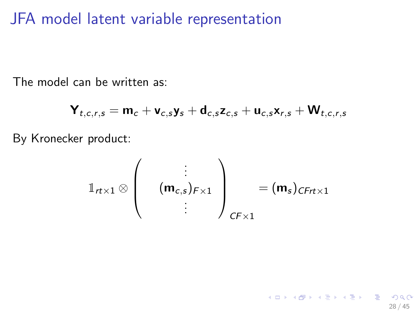### JFA model latent variable representation

The model can be written as:

$$
\mathbf{Y}_{t,c,r,s} = \mathbf{m}_c + \mathbf{v}_{c,s} \mathbf{y}_s + \mathbf{d}_{c,s} \mathbf{z}_{c,s} + \mathbf{u}_{c,s} \mathbf{x}_{r,s} + \mathbf{W}_{t,c,r,s}
$$

By Kronecker product:

$$
\mathbb{1}_{rt \times 1} \otimes \left( \begin{array}{c} \vdots \\ (\mathbf{m}_{c,s})_{F \times 1} \\ \vdots \end{array} \right)_{CF \times 1} = (\mathbf{m}_s)_{CFrt \times 1}
$$

28 / 45

K ロ X K @ X K 할 X K 할 X - 할 X YO Q @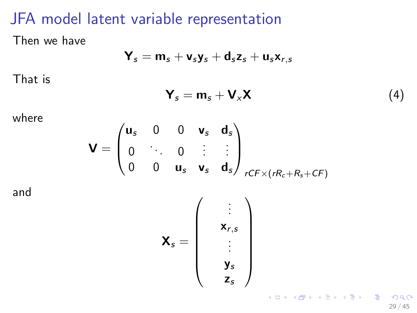## JFA model latent variable representation

Then we have

$$
\textbf{Y}_s = \textbf{m}_s + \textbf{v}_s \textbf{y}_s + \textbf{d}_s \textbf{z}_s + \textbf{u}_s \textbf{x}_{r,s}
$$

That is

$$
\mathbf{Y}_s = \mathbf{m}_s + \mathbf{V}_x \mathbf{X} \tag{4}
$$

where

$$
\mathbf{V} = \begin{pmatrix} \mathbf{u}_s & 0 & 0 & \mathbf{v}_s & \mathbf{d}_s \\ 0 & \ddots & 0 & \vdots & \vdots \\ 0 & 0 & \mathbf{u}_s & \mathbf{v}_s & \mathbf{d}_s \end{pmatrix}_{rCF \times (rR_c + R_s + CF)}
$$

and

$$
\mathbf{X}_{s} = \left(\begin{array}{c} \vdots \\ \mathbf{x}_{r,s} \\ \vdots \\ \mathbf{y}_{s} \\ \mathbf{z}_{s} \end{array}\right)
$$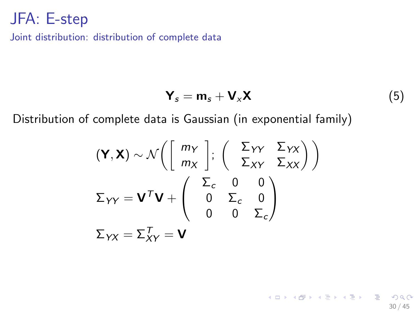Joint distribution: distribution of complete data

$$
\mathbf{Y}_s = \mathbf{m}_s + \mathbf{V}_x \mathbf{X} \tag{5}
$$

30 / 45

イロト (部) (差) (差) (差) のQ (2)

Distribution of complete data is Gaussian (in exponential family)

$$
(\mathbf{Y}, \mathbf{X}) \sim \mathcal{N}\left(\begin{bmatrix} m_Y \\ m_X \end{bmatrix}; \begin{pmatrix} \Sigma_{YY} & \Sigma_{YX} \\ \Sigma_{XY} & \Sigma_{XX} \end{pmatrix}\right)
$$

$$
\Sigma_{YY} = \mathbf{V}^T \mathbf{V} + \begin{pmatrix} \Sigma_c & 0 & 0 \\ 0 & \Sigma_c & 0 \\ 0 & 0 & \Sigma_c \end{pmatrix}
$$

$$
\Sigma_{YX} = \Sigma_{XY}^T = \mathbf{V}
$$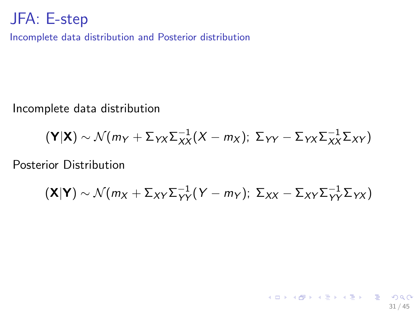Incomplete data distribution and Posterior distribution

Incomplete data distribution

$$
(\mathbf{Y}|\mathbf{X}) \sim \mathcal{N}(m_Y + \Sigma_{YX}\Sigma_{XX}^{-1}(X - m_X); \ \Sigma_{YY} - \Sigma_{YX}\Sigma_{XX}^{-1}\Sigma_{XY})
$$

Posterior Distribution

$$
(\mathbf{X}|\mathbf{Y}) \sim \mathcal{N}(m_X + \Sigma_{XY}\Sigma_{YY}^{-1}(Y - m_Y); \ \Sigma_{XX} - \Sigma_{XY}\Sigma_{YY}^{-1}\Sigma_{YX})
$$

31 / 45

K ロ > K d > K 할 > K 할 > 1 할 > 1 이익어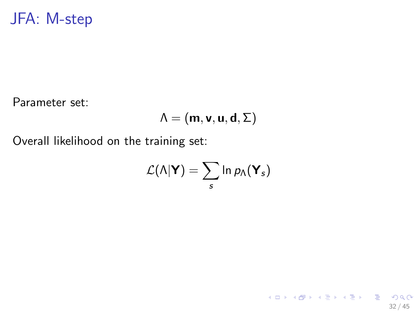Parameter set:

$$
\Lambda=(m,\textbf{v},\textbf{u},\textbf{d},\Sigma)
$$

Overall likelihood on the training set:

$$
\mathcal{L}(\Lambda|\mathbf{Y})=\sum_s \ln p_\Lambda(\mathbf{Y}_s)
$$

32 / 45

K ロ > K @ > K 할 > K 할 > 1 할 : K 9 Q Q\*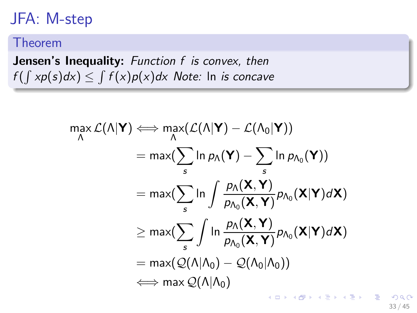#### Theorem

Jensen's Inequality: *Function f is convex, then*  $f(\int x p(s) dx) \leq \int f(x) p(x) dx$  Note: In *is concave* 

$$
\max_{\Lambda} \mathcal{L}(\Lambda | \mathbf{Y}) \Longleftrightarrow \max_{\Lambda} (\mathcal{L}(\Lambda | \mathbf{Y}) - \mathcal{L}(\Lambda_0 | \mathbf{Y}))
$$
\n
$$
= \max(\sum_{s} \ln p_{\Lambda}(\mathbf{Y}) - \sum_{s} \ln p_{\Lambda_0}(\mathbf{Y}))
$$
\n
$$
= \max(\sum_{s} \ln \int \frac{p_{\Lambda}(\mathbf{X}, \mathbf{Y})}{p_{\Lambda_0}(\mathbf{X}, \mathbf{Y})} p_{\Lambda_0}(\mathbf{X} | \mathbf{Y}) d\mathbf{X})
$$
\n
$$
\geq \max(\sum_{s} \int \ln \frac{p_{\Lambda}(\mathbf{X}, \mathbf{Y})}{p_{\Lambda_0}(\mathbf{X}, \mathbf{Y})} p_{\Lambda_0}(\mathbf{X} | \mathbf{Y}) d\mathbf{X})
$$
\n
$$
= \max(\mathcal{Q}(\Lambda | \Lambda_0) - \mathcal{Q}(\Lambda_0 | \Lambda_0))
$$
\n
$$
\iff \max \mathcal{Q}(\Lambda | \Lambda_0)
$$

 $\Omega$ 33 / 45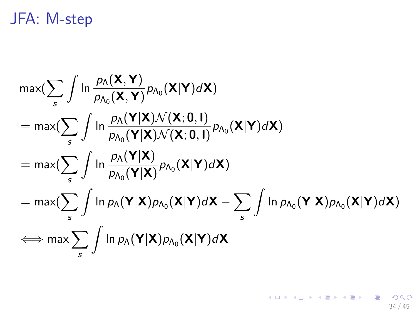$$
\max_{s} \left( \sum_{s} \int \ln \frac{p_{\Lambda}(\mathbf{X}, \mathbf{Y})}{p_{\Lambda_0}(\mathbf{X}, \mathbf{Y})} p_{\Lambda_0}(\mathbf{X} | \mathbf{Y}) d\mathbf{X} \right)
$$
\n
$$
= \max_{s} \left( \sum_{s} \int \ln \frac{p_{\Lambda}(\mathbf{Y} | \mathbf{X}) \mathcal{N}(\mathbf{X}; \mathbf{0}, \mathbf{I})}{p_{\Lambda_0}(\mathbf{Y} | \mathbf{X}) \mathcal{N}(\mathbf{X}; \mathbf{0}, \mathbf{I})} p_{\Lambda_0}(\mathbf{X} | \mathbf{Y}) d\mathbf{X} \right)
$$
\n
$$
= \max_{s} \left( \sum_{s} \int \ln \frac{p_{\Lambda}(\mathbf{Y} | \mathbf{X})}{p_{\Lambda_0}(\mathbf{Y} | \mathbf{X})} p_{\Lambda_0}(\mathbf{X} | \mathbf{Y}) d\mathbf{X} \right)
$$
\n
$$
= \max_{s} \left( \sum_{s} \int \ln p_{\Lambda}(\mathbf{Y} | \mathbf{X}) p_{\Lambda_0}(\mathbf{X} | \mathbf{Y}) d\mathbf{X} - \sum_{s} \int \ln p_{\Lambda_0}(\mathbf{Y} | \mathbf{X}) p_{\Lambda_0}(\mathbf{X} | \mathbf{Y}) d\mathbf{X} \right)
$$
\n
$$
\iff \max_{s} \sum_{s} \int \ln p_{\Lambda}(\mathbf{Y} | \mathbf{X}) p_{\Lambda_0}(\mathbf{X} | \mathbf{Y}) d\mathbf{X}
$$

34 / 45

K ロ > K @ ▶ K 할 > K 할 > → 할 → ⊙ Q @ ·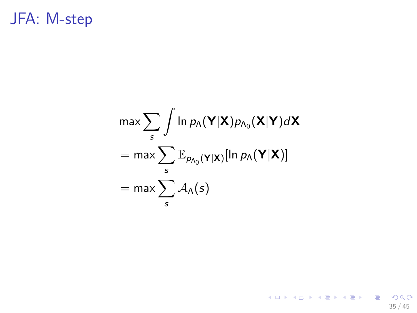$$
\max \sum_{s} \int \ln p_{\Lambda}(\mathbf{Y}|\mathbf{X}) p_{\Lambda_0}(\mathbf{X}|\mathbf{Y}) d\mathbf{X}
$$

$$
= \max \sum_{s} \mathbb{E}_{p_{\Lambda_0}(\mathbf{Y}|\mathbf{X})}[\ln p_{\Lambda}(\mathbf{Y}|\mathbf{X})]
$$

$$
= \max \sum_{s} \mathcal{A}_{\Lambda}(s)
$$

(ロ) (個) (目) (目) (目) 目 のQC 35 / 45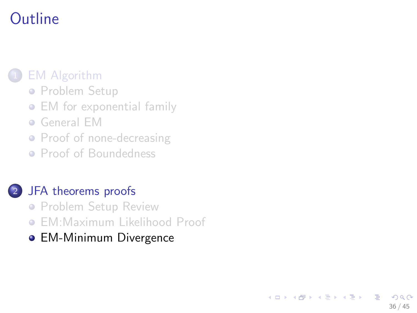# **Outline**

### **[EM Algorithm](#page-1-0)**

- **[Problem Setup](#page-1-0)**
- [EM for exponential family](#page-5-0)
- [General EM](#page-12-0)
- [Proof of none-decreasing](#page-14-0)
- [Proof of Boundedness](#page-17-0)

#### 2 [JFA theorems proofs](#page-21-0)

- **[Problem Setup Review](#page-21-0)**
- **[EM:Maximum Likelihood Proof](#page-26-0)**

<span id="page-35-0"></span>36 / 45

つひひ

э

イロト イ部 トイヨ トイヨト

• [EM-Minimum Divergence](#page-35-0)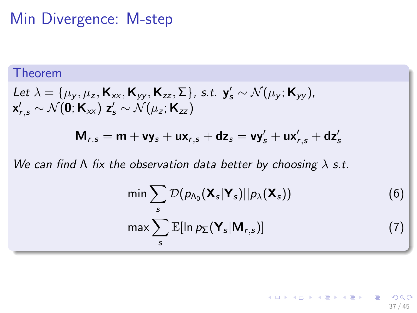## Min Divergence: M-step

#### Theorem

Let 
$$
\lambda = {\mu_y, \mu_z, \mathbf{K}_{xx}, \mathbf{K}_{yy}, \mathbf{K}_{zz}, \Sigma}
$$
, s.t.  $\mathbf{y}'_s \sim \mathcal{N}(\mu_y; \mathbf{K}_{yy})$ ,  
 $\mathbf{x}'_{r,s} \sim \mathcal{N}(\mathbf{0}; \mathbf{K}_{xx}) \mathbf{z}'_s \sim \mathcal{N}(\mu_z; \mathbf{K}_{zz})$ 

$$
\mathsf{M}_{r,s} = \mathsf{m} + \mathsf{vy}_s + \mathsf{ux}_{r,s} + \mathsf{dz}_s = \mathsf{vy}'_s + \mathsf{ux}'_{r,s} + \mathsf{dz}'_s
$$

*We can find* Λ *fix the observation data better by choosing* λ *s.t.*

$$
\min \sum_{s} \mathcal{D}(p_{\Lambda_0}(\mathbf{X}_s|\mathbf{Y}_s)||p_\lambda(\mathbf{X}_s))
$$
\n
$$
\max \sum_{s} \mathbb{E}[\ln p_{\Sigma}(\mathbf{Y}_s|\mathbf{M}_{r,s})]
$$
\n(7)

**K ロ ⊁ K 倒 ≯ K 差 ≯ K 差 ≯ … 差** 

37 / 45

 $\Omega$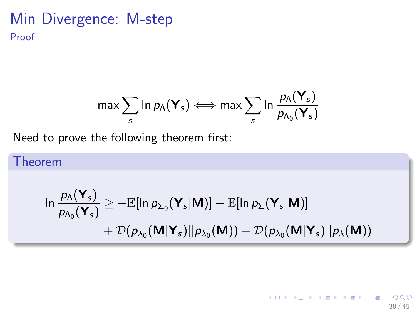### Min Divergence: M-step Proof

$$
\text{max} \sum_{s} \ln p_{\Lambda}(\boldsymbol{Y}_s) \Longleftrightarrow \text{max} \sum_{s} \ln \frac{p_{\Lambda}(\boldsymbol{Y}_s)}{p_{\Lambda_0}(\boldsymbol{Y}_s)}
$$

Need to prove the following theorem first:

Theorem

$$
\ln \frac{p_{\Lambda}(\mathbf{Y}_s)}{p_{\Lambda_0}(\mathbf{Y}_s)} \ge -\mathbb{E}[\ln p_{\Sigma_0}(\mathbf{Y}_s|\mathbf{M})] + \mathbb{E}[\ln p_{\Sigma}(\mathbf{Y}_s|\mathbf{M})] + \mathcal{D}(p_{\lambda_0}(\mathbf{M}|\mathbf{Y}_s)||p_{\lambda_0}(\mathbf{M})) - \mathcal{D}(p_{\lambda_0}(\mathbf{M}|\mathbf{Y}_s)||p_{\lambda}(\mathbf{M}))
$$

イロト イ部 トイ君 トイ君 トー 重  $QQ$ 38 / 45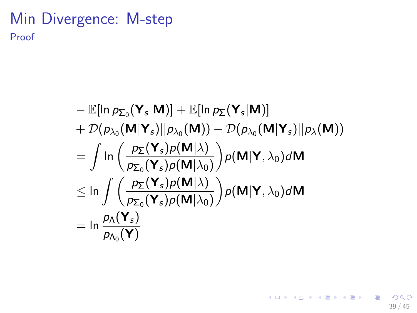### Min Divergence: M-step Proof

$$
-\mathbb{E}[\ln p_{\Sigma_0}(\mathbf{Y}_s|\mathbf{M})] + \mathbb{E}[\ln p_{\Sigma}(\mathbf{Y}_s|\mathbf{M})]
$$
  
+  $\mathcal{D}(p_{\lambda_0}(\mathbf{M}|\mathbf{Y}_s)||p_{\lambda_0}(\mathbf{M})) - \mathcal{D}(p_{\lambda_0}(\mathbf{M}|\mathbf{Y}_s)||p_{\lambda}(\mathbf{M}))$   
=  $\int \ln \left( \frac{p_{\Sigma}(\mathbf{Y}_s)p(\mathbf{M}|\lambda)}{p_{\Sigma_0}(\mathbf{Y}_s)p(\mathbf{M}|\lambda_0)} \right) p(\mathbf{M}|\mathbf{Y}, \lambda_0) d\mathbf{M}$   
 $\leq \ln \int \left( \frac{p_{\Sigma}(\mathbf{Y}_s)p(\mathbf{M}|\lambda)}{p_{\Sigma_0}(\mathbf{Y}_s)p(\mathbf{M}|\lambda_0)} \right) p(\mathbf{M}|\mathbf{Y}, \lambda_0) d\mathbf{M}$   
=  $\ln \frac{p_{\Lambda}(\mathbf{Y}_s)}{p_{\Lambda_0}(\mathbf{Y})}$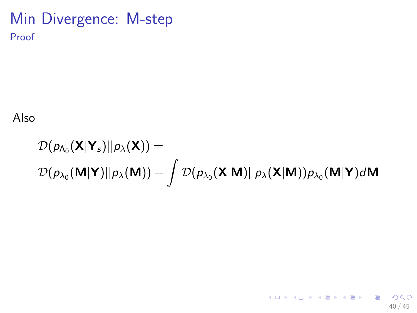### Min Divergence: M-step Proof

Also

$$
\mathcal{D}(p_{\Lambda_0}(\mathbf{X}|\mathbf{Y}_s)||p_{\lambda}(\mathbf{X})) = \n\mathcal{D}(p_{\lambda_0}(\mathbf{M}|\mathbf{Y})||p_{\lambda}(\mathbf{M})) + \int \mathcal{D}(p_{\lambda_0}(\mathbf{X}|\mathbf{M})||p_{\lambda}(\mathbf{X}|\mathbf{M}))p_{\lambda_0}(\mathbf{M}|\mathbf{Y})d\mathbf{M}
$$

K ロ ▶ K @ ▶ K 할 ▶ K 할 ▶ ① 할 → ① 의 ① 40 / 45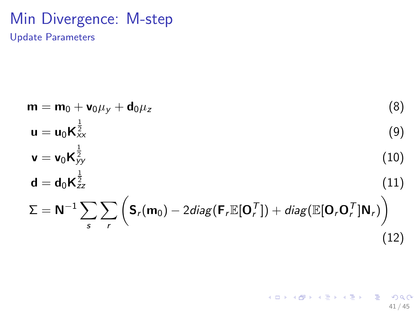### Min Divergence: M-step Update Parameters

$$
\mathbf{m} = \mathbf{m}_0 + \mathbf{v}_0 \mu_y + \mathbf{d}_0 \mu_z
$$
(8)  
\n
$$
\mathbf{u} = \mathbf{u}_0 \mathbf{K}_{xx}^{\frac{1}{2}}
$$
(9)  
\n
$$
\mathbf{v} = \mathbf{v}_0 \mathbf{K}_{yy}^{\frac{1}{2}}
$$
(10)  
\n
$$
\mathbf{d} = \mathbf{d}_0 \mathbf{K}_{zz}^{\frac{1}{2}}
$$
(11)  
\n
$$
\Sigma = \mathbf{N}^{-1} \sum_{s} \sum_{r} \left( \mathbf{S}_r(\mathbf{m}_0) - 2 \text{diag}(\mathbf{F}_r \mathbb{E}[\mathbf{O}_r^T]) + \text{diag}(\mathbb{E}[\mathbf{O}_r \mathbf{O}_r^T] \mathbf{N}_r) \right)
$$
(12)

K ロ ▶ K @ ▶ K 할 ▶ K 할 ▶ 이 할 → 900 41 / 45